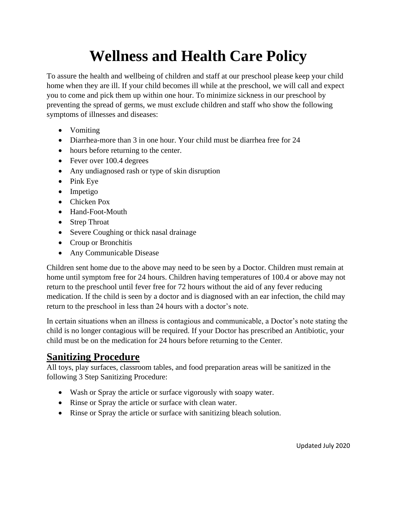## **Wellness and Health Care Policy**

To assure the health and wellbeing of children and staff at our preschool please keep your child home when they are ill. If your child becomes ill while at the preschool, we will call and expect you to come and pick them up within one hour. To minimize sickness in our preschool by preventing the spread of germs, we must exclude children and staff who show the following symptoms of illnesses and diseases:

- Vomiting
- Diarrhea-more than 3 in one hour. Your child must be diarrhea free for 24
- hours before returning to the center.
- Fever over 100.4 degrees
- Any undiagnosed rash or type of skin disruption
- Pink Eye
- Impetigo
- Chicken Pox
- Hand-Foot-Mouth
- Strep Throat
- Severe Coughing or thick nasal drainage
- Croup or Bronchitis
- Any Communicable Disease

Children sent home due to the above may need to be seen by a Doctor. Children must remain at home until symptom free for 24 hours. Children having temperatures of 100.4 or above may not return to the preschool until fever free for 72 hours without the aid of any fever reducing medication. If the child is seen by a doctor and is diagnosed with an ear infection, the child may return to the preschool in less than 24 hours with a doctor's note.

In certain situations when an illness is contagious and communicable, a Doctor's note stating the child is no longer contagious will be required. If your Doctor has prescribed an Antibiotic, your child must be on the medication for 24 hours before returning to the Center.

## **Sanitizing Procedure**

All toys, play surfaces, classroom tables, and food preparation areas will be sanitized in the following 3 Step Sanitizing Procedure:

- Wash or Spray the article or surface vigorously with soapy water.
- Rinse or Spray the article or surface with clean water.
- Rinse or Spray the article or surface with sanitizing bleach solution.